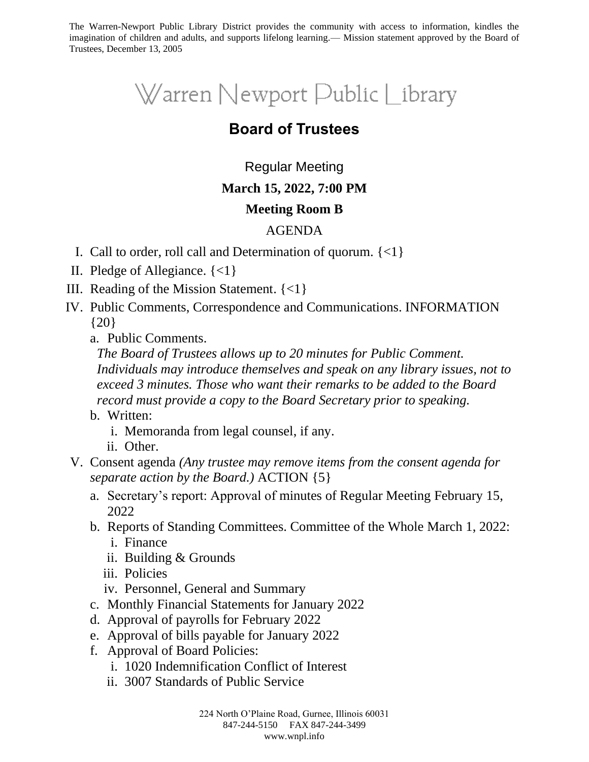The Warren-Newport Public Library District provides the community with access to information, kindles the imagination of children and adults, and supports lifelong learning.— Mission statement approved by the Board of Trustees, December 13, 2005

# Warren Newport Public Library

# **Board of Trustees**

## Regular Meeting

#### **March 15, 2022, 7:00 PM**

#### **Meeting Room B**

### AGENDA

- I. Call to order, roll call and Determination of quorum. {<1}
- II. Pledge of Allegiance. {<1}
- III. Reading of the Mission Statement. {<1}
- IV. Public Comments, Correspondence and Communications. INFORMATION {20}
	- a. Public Comments.

*The Board of Trustees allows up to 20 minutes for Public Comment. Individuals may introduce themselves and speak on any library issues, not to exceed 3 minutes. Those who want their remarks to be added to the Board record must provide a copy to the Board Secretary prior to speaking.*

- b. Written:
	- i. Memoranda from legal counsel, if any.
	- ii. Other.
- V. Consent agenda *(Any trustee may remove items from the consent agenda for separate action by the Board.)* ACTION {5}
	- a. Secretary's report: Approval of minutes of Regular Meeting February 15, 2022
	- b. Reports of Standing Committees. Committee of the Whole March 1, 2022:
		- i. Finance
		- ii. Building & Grounds
		- iii. Policies
		- iv. Personnel, General and Summary
	- c. Monthly Financial Statements for January 2022
	- d. Approval of payrolls for February 2022
	- e. Approval of bills payable for January 2022
	- f. Approval of Board Policies:
		- i. 1020 Indemnification Conflict of Interest
		- ii. 3007 Standards of Public Service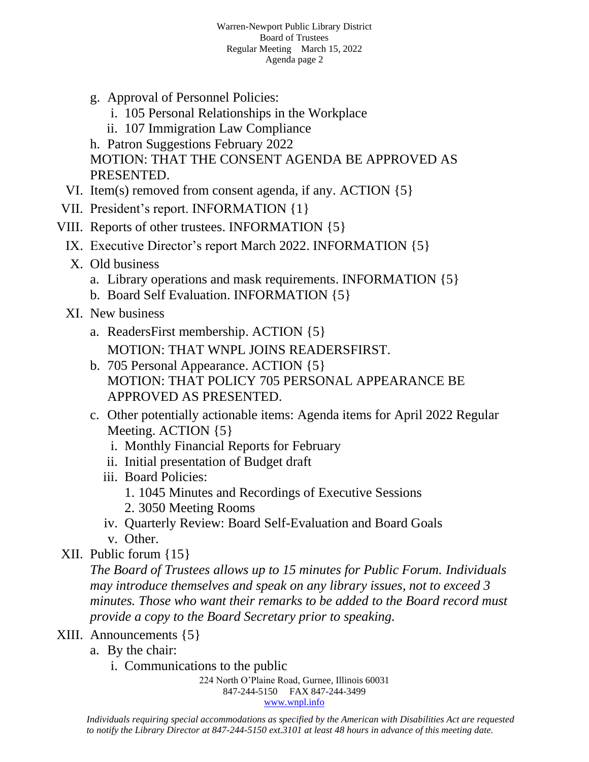- g. Approval of Personnel Policies:
	- i. 105 Personal Relationships in the Workplace
	- ii. 107 Immigration Law Compliance

h. Patron Suggestions February 2022 MOTION: THAT THE CONSENT AGENDA BE APPROVED AS PRESENTED.

- VI. Item(s) removed from consent agenda, if any. ACTION {5}
- VII. President's report. INFORMATION {1}
- VIII. Reports of other trustees. INFORMATION {5}
	- IX. Executive Director's report March 2022. INFORMATION {5}
		- X. Old business
			- a. Library operations and mask requirements. INFORMATION {5}
			- b. Board Self Evaluation. INFORMATION {5}
	- XI. New business
		- a. ReadersFirst membership. ACTION {5} MOTION: THAT WNPL JOINS READERSFIRST.
		- b. 705 Personal Appearance. ACTION {5} MOTION: THAT POLICY 705 PERSONAL APPEARANCE BE APPROVED AS PRESENTED.
		- c. Other potentially actionable items: Agenda items for April 2022 Regular Meeting. ACTION {5}
			- i. Monthly Financial Reports for February
			- ii. Initial presentation of Budget draft
			- iii. Board Policies:
				- 1. 1045 Minutes and Recordings of Executive Sessions
				- 2. 3050 Meeting Rooms
			- iv. Quarterly Review: Board Self-Evaluation and Board Goals
			- v. Other.
- XII. Public forum {15}

*The Board of Trustees allows up to 15 minutes for Public Forum. Individuals may introduce themselves and speak on any library issues, not to exceed 3 minutes. Those who want their remarks to be added to the Board record must provide a copy to the Board Secretary prior to speaking.*

- XIII. Announcements {5}
	- a. By the chair:
		- i. Communications to the public

224 North O'Plaine Road, Gurnee, Illinois 60031 847-244-5150 FAX 847-244-3499 [www.wnpl.info](http://www.wnpl.info/)